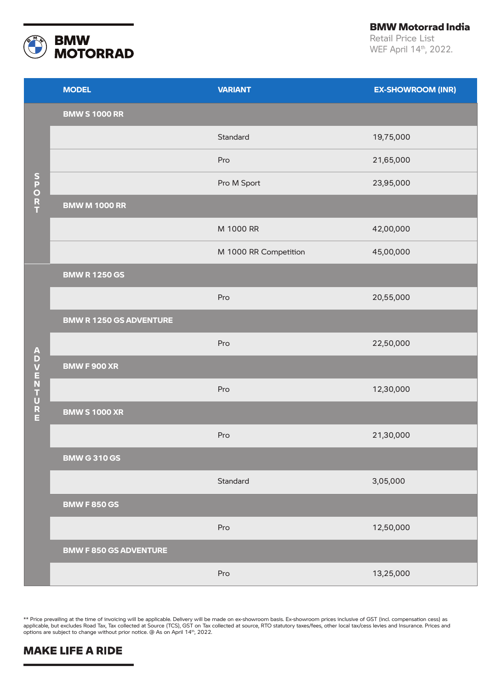

BMW Motorrad India

Retail Price List WEF April 14th, 2022.

|                  | <b>MODEL</b>                   | <b>VARIANT</b>        | <b>EX-SHOWROOM (INR)</b> |
|------------------|--------------------------------|-----------------------|--------------------------|
|                  | <b>BMW S 1000 RR</b>           |                       |                          |
| SPORT            |                                | Standard              | 19,75,000                |
|                  |                                | Pro                   | 21,65,000                |
|                  |                                | Pro M Sport           | 23,95,000                |
|                  | <b>BMW M 1000 RR</b>           |                       |                          |
|                  |                                | M 1000 RR             | 42,00,000                |
|                  |                                | M 1000 RR Competition | 45,00,000                |
|                  | <b>BMW R 1250 GS</b>           |                       |                          |
|                  |                                | Pro                   | 20,55,000                |
|                  | <b>BMW R 1250 GS ADVENTURE</b> |                       |                          |
|                  |                                | Pro                   | 22,50,000                |
|                  | <b>BMW F 900 XR</b>            |                       |                          |
| <b>ADVENTURE</b> |                                | Pro                   | 12,30,000                |
|                  | <b>BMW S 1000 XR</b>           |                       |                          |
|                  |                                | Pro                   | 21,30,000                |
|                  | <b>BMW G 310 GS</b>            |                       |                          |
|                  |                                | Standard              | 3,05,000                 |
|                  | <b>BMW F 850 GS</b>            |                       |                          |
|                  |                                | Pro                   | 12,50,000                |
|                  | <b>BMW F 850 GS ADVENTURE</b>  |                       |                          |
|                  |                                | Pro                   | 13,25,000                |

\*\* Price prevailing at the time of invoicing will be applicable. Delivery will be made on ex-showroom basis. Ex-showroom prices inclusive of GST (incl. compensation cess) as applicable, but excludes Road Tax, Tax collected at Source (TCS), GST on Tax collected at source, RTO statutory taxes/fees, other local tax/cess levies and Insurance. Prices and options are subject to change without prior notice. @ As on April 14<sup>th</sup>, 2022.

## **MAKE LIFE A RIDE**